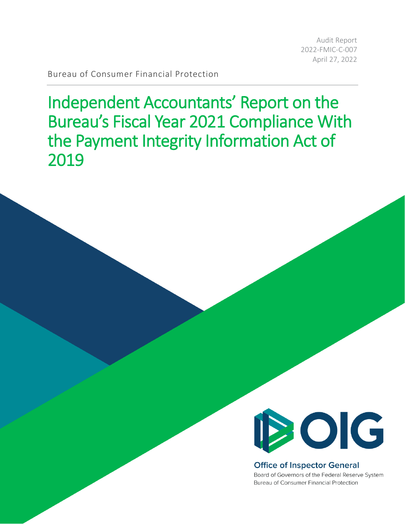Audit Report 2022-FMIC-C-007 April 27, 2022

Bureau of Consumer Financial Protection

 Independent Accountants' Report on the Bureau's Fiscal Year 2021 Compliance With the Payment Integrity Information Act of 2019



## **Office of Inspector General**

Board of Governors of the Federal Reserve System Bureau of Consumer Financial Protection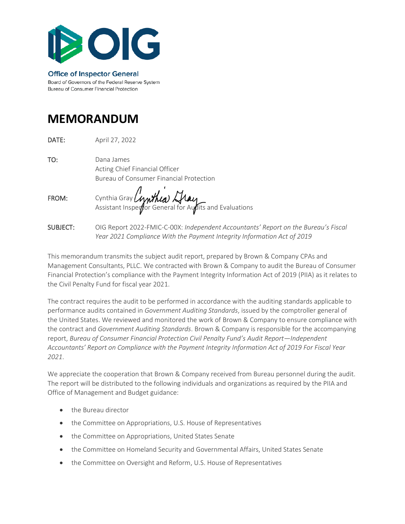

**Office of Inspector General** Board of Governors of the Federal Reserve System Bureau of Consumer Financial Protection

# **MEMORANDUM**

DATE: April 27, 2022

TO: Dana James Acting Chief Financial Officer Bureau of Consumer Financial Protection

FROM: Cynthia Gray Assistant Inspe $q\llap{/}$ or General for A $q\llap{/}$ lits and Evaluations

SUBJECT: OIG Report 2022-FMIC-C-00X: *Independent Accountants' Report on the Bureau's Fiscal Year 2021 Compliance With the Payment Integrity Information Act of 2019* 

 This memorandum transmits the subject audit report, prepared by Brown & Company CPAs and Management Consultants, PLLC. We contracted with Brown & Company to audit the Bureau of Consumer Financial Protection's compliance with the Payment Integrity Information Act of 2019 (PIIA) as it relates to the Civil Penalty Fund for fiscal year 2021.

 performance audits contained in *Government Auditing Standards*, issued by the comptroller general of The contract requires the audit to be performed in accordance with the auditing standards applicable to the United States. We reviewed and monitored the work of Brown & Company to ensure compliance with the contract and *Government Auditing Standards*. Brown & Company is responsible for the accompanying report, *Bureau of Consumer Financial Protection Civil Penalty Fund's Audit Report—Independent Accountants' Report on Compliance with the Payment Integrity Information Act of 2019 For Fiscal Year 2021*.

We appreciate the cooperation that Brown & Company received from Bureau personnel during the audit. The report will be distributed to the following individuals and organizations as required by the PIIA and Office of Management and Budget guidance:

- the Bureau director
- the Committee on Appropriations, U.S. House of Representatives
- the Committee on Appropriations, United States Senate
- the Committee on Homeland Security and Governmental Affairs, United States Senate
- the Committee on Oversight and Reform, U.S. House of Representatives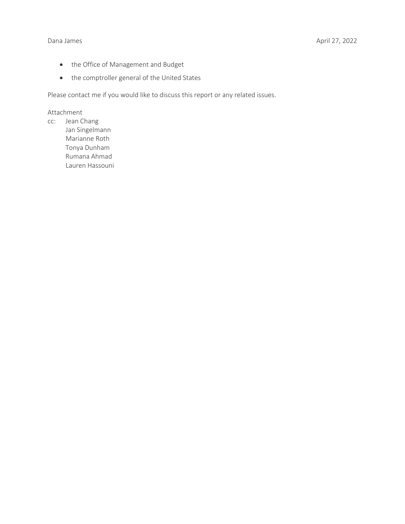- the Office of Management and Budget
- the comptroller general of the United States

Please contact me if you would like to discuss this report or any related issues.

#### Attachment

cc: Jean Chang Jan Singelmann Marianne Roth Tonya Dunham Rumana Ahmad Lauren Hassouni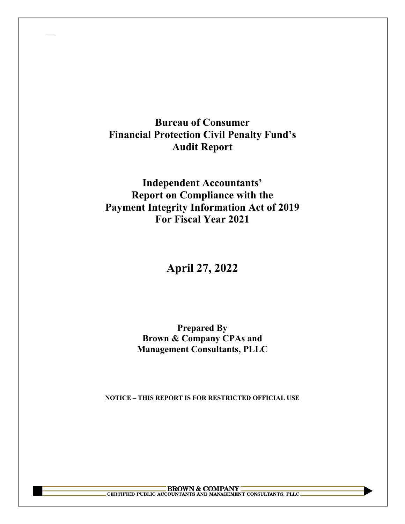# **Bureau of Consumer Financial Protection Civil Penalty Fund's Audit Report**

 **For Fiscal Year 2021 Independent Accountants' Report on Compliance with the Payment Integrity Information Act of 2019** 

# **April 27, 2022**

# **Prepared By Brown & Company CPAs and Management Consultants, PLLC**

 **NOTICE – THIS REPORT IS FOR RESTRICTED OFFICIAL USE** 

BROWN & COMPANY CONSULTANTS, PLLC CERTIFIED PUBLIC ACCOUNTANTS AND MANAGEMENT CONSULTANTS, PLLC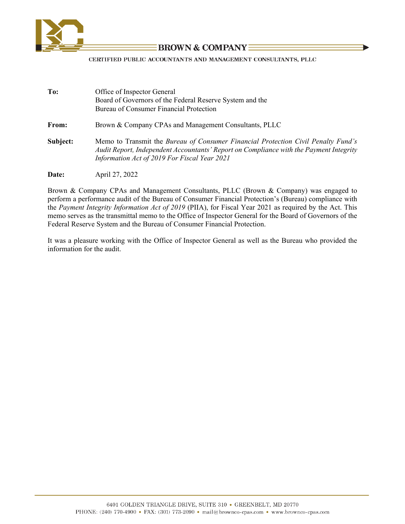

# **BROWN & COMPANYE**

CERTIFIED PUBLIC ACCOUNTANTS AND MANAGEMENT CONSULTANTS, PLLC

| To:      | Office of Inspector General                                                                                                                                                                                                 |
|----------|-----------------------------------------------------------------------------------------------------------------------------------------------------------------------------------------------------------------------------|
|          | Board of Governors of the Federal Reserve System and the                                                                                                                                                                    |
|          | Bureau of Consumer Financial Protection                                                                                                                                                                                     |
| From:    | Brown & Company CPAs and Management Consultants, PLLC                                                                                                                                                                       |
| Subject: | Memo to Transmit the Bureau of Consumer Financial Protection Civil Penalty Fund's<br>Audit Report, Independent Accountants' Report on Compliance with the Payment Integrity<br>Information Act of 2019 For Fiscal Year 2021 |
| Date:    | April 27, 2022                                                                                                                                                                                                              |

 Brown & Company CPAs and Management Consultants, PLLC (Brown & Company) was engaged to the *Payment Integrity Information Act of 2019* (PIIA), for Fiscal Year 2021 as required by the Act. This perform a performance audit of the Bureau of Consumer Financial Protection's (Bureau) compliance with memo serves as the transmittal memo to the Office of Inspector General for the Board of Governors of the Federal Reserve System and the Bureau of Consumer Financial Protection.

 information for the audit. It was a pleasure working with the Office of Inspector General as well as the Bureau who provided the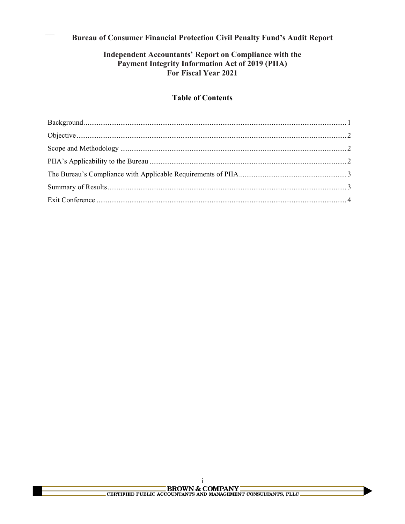# **Bureau of Consumer Financial Protection Civil Penalty Fund's Audit Report**

# Independent Accountants' Report on Compliance with the Payment Integrity Information Act of 2019 (PIIA) For Fiscal Year 2021

## **Table of Contents**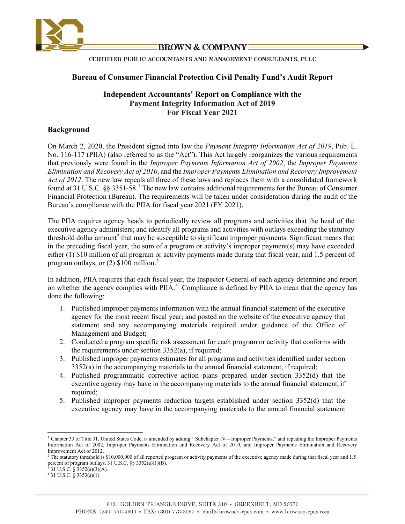

**BROWN & COMPANY -**

CERTIFIED PUBLIC ACCOUNTANTS AND MANAGEMENT CONSULTANTS, PLLC

#### **Bureau of Consumer Financial Protection Civil Penalty Fund's Audit Report**

### **For Fiscal Year 2021 Independent Accountants' Report on Compliance with the Payment Integrity Information Act of 2019**

#### <span id="page-6-0"></span>**Background**

 Financial Protection (Bureau). The requirements will be taken under consideration during the audit of the Bureau's compliance with the PIIA for fiscal year 2021 (FY 2021). On March 2, 2020, the President signed into law the *Payment Integrity Information Act of 2019*, Pub. L. No. 116-117 (PIIA) (also referred to as the "Act"). This Act largely reorganizes the various requirements that previously were found in the *Improper Payments Information Act of 2002*, the *Improper Payments Elimination and Recovery Act of 2010*, and the *Improper Payments Elimination and Recovery Improvement Act of 2012*. The new law repeals all three of these laws and replaces them with a consolidated framework found at 3[1](#page-6-1) U.S.C.  $\S$ § 3351-58.<sup>1</sup> The new law contains additional requirements for the Bureau of Consumer

threshold dollar amount<sup>2</sup> that may be susceptible to significant improper payments. Significant means that in the preceding fiscal year, the sum of a program or activity's improper payment(s) may have exceeded either (1) \$10 million of all program or activity payments made during that fiscal year, and 1.5 percent of program outlays, or (2) \$100 million.<sup>[3](#page-6-3)</sup> The PIIA requires agency heads to periodically review all programs and activities that the head of the executive agency administers; and identify all programs and activities with outlays exceeding the statutory

on whether the agency complies with PIIA.<sup>4</sup> Compliance is defined by PIIA to mean that the agency has In addition, PIIA requires that each fiscal year, the Inspector General of each agency determine and report done the following:

- agency for the most recent fiscal year; and posted on the website of the executive agency that statement and any accompanying materials required under guidance of the Office of Management and Budget; 1. Published improper payments information with the annual financial statement of the executive
- 2. Conducted a program specific risk assessment for each program or activity that conforms with the requirements under section 3352(a), if required;
- 3. Published improper payments estimates for all programs and activities identified under section 3352(a) in the accompanying materials to the annual financial statement, if required;
- 4. Published programmatic corrective action plans prepared under section 3352(d) that the executive agency may have in the accompanying materials to the annual financial statement, if required;
- 5. Published improper payments reduction targets established under section 3352(d) that the executive agency may have in the accompanying materials to the annual financial statement

<span id="page-6-1"></span><sup>&</sup>lt;sup>1</sup> Chapter 33 of Title 31, United States Code, is amended by adding "Subchapter IV—Improper Payments," and repealing the Improper Payments Information Act of 2002, Improper Payments Elimination and Recovery Act of 2010, and Improper Payments Elimination and Recovery Improvement Act of 2012.

<span id="page-6-3"></span><span id="page-6-2"></span> $2$  The statutory threshold is \$10,000,000 of all reported program or activity payments of the executive agency made during that fiscal year and 1.5 percent of program outlays. 31 U.S.C. §§ 3352(a)(1)(B).<br><sup>3</sup> 31 U.S.C. § 3352(a)(3)(A).<br><sup>4</sup> 31 U.S.C. § 3353(a)(1).

<span id="page-6-4"></span>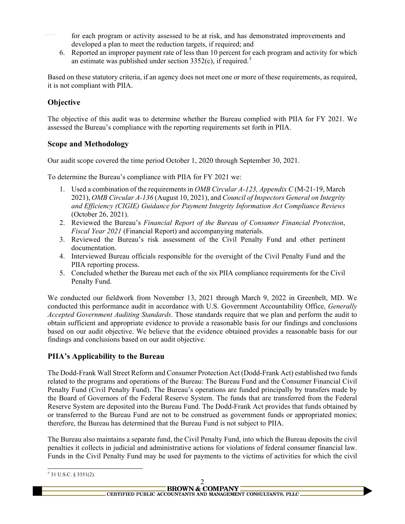for each program or activity assessed to be at risk, and has demonstrated improvements and developed a plan to meet the reduction targets, if required; and

 6. Reported an improper payment rate of less than 10 percent for each program and activity for which an estimate was published under section  $3352(c)$  $3352(c)$  $3352(c)$ , if required.<sup>5</sup>

 Based on these statutory criteria, if an agency does not meet one or more of these requirements, as required, it is not compliant with PIIA.

# <span id="page-7-0"></span>**Objective**

The objective of this audit was to determine whether the Bureau complied with PIIA for FY 2021. We assessed the Bureau's compliance with the reporting requirements set forth in PIIA.

### <span id="page-7-1"></span>**Scope and Methodology**

Our audit scope covered the time period October 1, 2020 through September 30, 2021.

To determine the Bureau's compliance with PIIA for FY 2021 we:

- 1. Used a combination of the requirements in *OMB Circular A-123, Appendix C* (M-21-19, March 2021), *OMB Circular A-136* (August 10, 2021), and *Council of Inspectors General on Integrity and Efficiency (CIGIE) Guidance for Payment Integrity Information Act Compliance Reviews*  (October 26, 2021).
- *Fiscal Year 2021* (Financial Report) and accompanying materials. 2. Reviewed the Bureau's *Financial Report of the Bureau of Consumer Financial Protection*,
- *Fiscal Year 2021* (Financial Report) and accompanying materials. 3. Reviewed the Bureau's risk assessment of the Civil Penalty Fund and other pertinent documentation.
- 4. Interviewed Bureau officials responsible for the oversight of the Civil Penalty Fund and the PIIA reporting process.
- 5. Concluded whether the Bureau met each of the six PIIA compliance requirements for the Civil Penalty Fund.

 We conducted our fieldwork from November 13, 2021 through March 9, 2022 in Greenbelt, MD. We obtain sufficient and appropriate evidence to provide a reasonable basis for our findings and conclusions conducted this performance audit in accordance with U.S. Government Accountability Office, *Generally Accepted Government Auditing Standards*. Those standards require that we plan and perform the audit to based on our audit objective. We believe that the evidence obtained provides a reasonable basis for our findings and conclusions based on our audit objective.

## <span id="page-7-2"></span> **PIIA's Applicability to the Bureau**

The Dodd-Frank Wall Street Reform and Consumer Protection Act (Dodd-Frank Act) established two funds related to the programs and operations of the Bureau: The Bureau Fund and the Consumer Financial Civil Penalty Fund (Civil Penalty Fund). The Bureau's operations are funded principally by transfers made by the Board of Governors of the Federal Reserve System. The funds that are transferred from the Federal Reserve System are deposited into the Bureau Fund. The Dodd-Frank Act provides that funds obtained by or transferred to the Bureau Fund are not to be construed as government funds or appropriated monies; therefore, the Bureau has determined that the Bureau Fund is not subject to PIIA.

 The Bureau also maintains a separate fund, the Civil Penalty Fund, into which the Bureau deposits the civil penalties it collects in judicial and administrative actions for violations of federal consumer financial law. Funds in the Civil Penalty Fund may be used for payments to the victims of activities for which the civil

<span id="page-7-3"></span>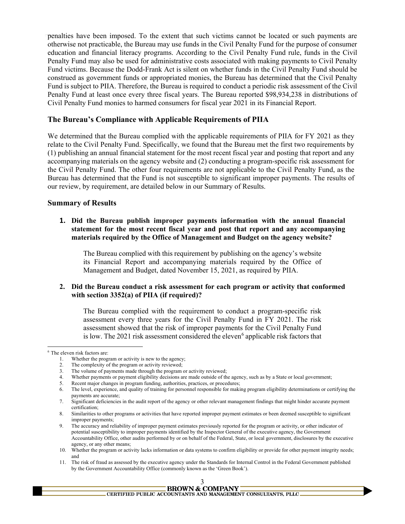Civil Penalty Fund monies to harmed consumers for fiscal year 2021 in its Financial Report. penalties have been imposed. To the extent that such victims cannot be located or such payments are otherwise not practicable, the Bureau may use funds in the Civil Penalty Fund for the purpose of consumer education and financial literacy programs. According to the Civil Penalty Fund rule, funds in the Civil Penalty Fund may also be used for administrative costs associated with making payments to Civil Penalty Fund victims. Because the Dodd-Frank Act is silent on whether funds in the Civil Penalty Fund should be construed as government funds or appropriated monies, the Bureau has determined that the Civil Penalty Fund is subject to PIIA. Therefore, the Bureau is required to conduct a periodic risk assessment of the Civil Penalty Fund at least once every three fiscal years. The Bureau reported \$98,934,238 in distributions of

#### <span id="page-8-0"></span> **The Bureau's Compliance with Applicable Requirements of PIIA**

We determined that the Bureau complied with the applicable requirements of PIIA for FY 2021 as they relate to the Civil Penalty Fund. Specifically, we found that the Bureau met the first two requirements by (1) publishing an annual financial statement for the most recent fiscal year and posting that report and any accompanying materials on the agency website and (2) conducting a program-specific risk assessment for the Civil Penalty Fund. The other four requirements are not applicable to the Civil Penalty Fund, as the Bureau has determined that the Fund is not susceptible to significant improper payments. The results of our review, by requirement, are detailed below in our Summary of Results.

#### <span id="page-8-1"></span>**Summary of Results**

 **statement for the most recent fiscal year and post that report and any accompanying 1. Did the Bureau publish improper payments information with the annual financial materials required by the Office of Management and Budget on the agency website?** 

 its Financial Report and accompanying materials required by the Office of The Bureau complied with this requirement by publishing on the agency's website Management and Budget, dated November 15, 2021, as required by PIIA.

#### **2. Did the Bureau conduct a risk assessment for each program or activity that conformed with section 3352(a) of PIIA (if required)?**

The Bureau complied with the requirement to conduct a program-specific risk assessment every three years for the Civil Penalty Fund in FY 2021. The risk assessment showed that the risk of improper payments for the Civil Penalty Fund is low. The 2021 risk assessment considered the eleven<sup>6</sup> applicable risk factors that

<sup>11.</sup> The risk of fraud as assessed by the executive agency under the Standards for Internal Control in the Federal Government published by the Government Accountability Office (commonly known as the 'Green Book').



<span id="page-8-2"></span><sup>6</sup> The eleven risk factors are:

<sup>1.</sup> Whether the program or activity is new to the agency;

<sup>2.</sup> The complexity of the program or activity reviewed;

<sup>3.</sup> The volume of payments made through the program or activity reviewed;

<sup>4.</sup> Whether payments or payment eligibility decisions are made outside of the agency, such as by a State or local government;

<sup>5.</sup> Recent major changes in program funding, authorities, practices, or procedures;

<sup>6.</sup> The level, experience, and quality of training for personnel responsible for making program eligibility determinations or certifying the payments are accurate;

<sup>7.</sup> Significant deficiencies in the audit report of the agency or other relevant management findings that might hinder accurate payment certification;

<sup>8.</sup> Similarities to other programs or activities that have reported improper payment estimates or been deemed susceptible to significant improper payments;

<sup>9.</sup> The accuracy and reliability of improper payment estimates previously reported for the program or activity, or other indicator of potential susceptibility to improper payments identified by the Inspector General of the executive agency, the Government Accountability Office, other audits performed by or on behalf of the Federal, State, or local government, disclosures by the executive agency, or any other means;

<sup>10.</sup> Whether the program or activity lacks information or data systems to confirm eligibility or provide for other payment integrity needs; and